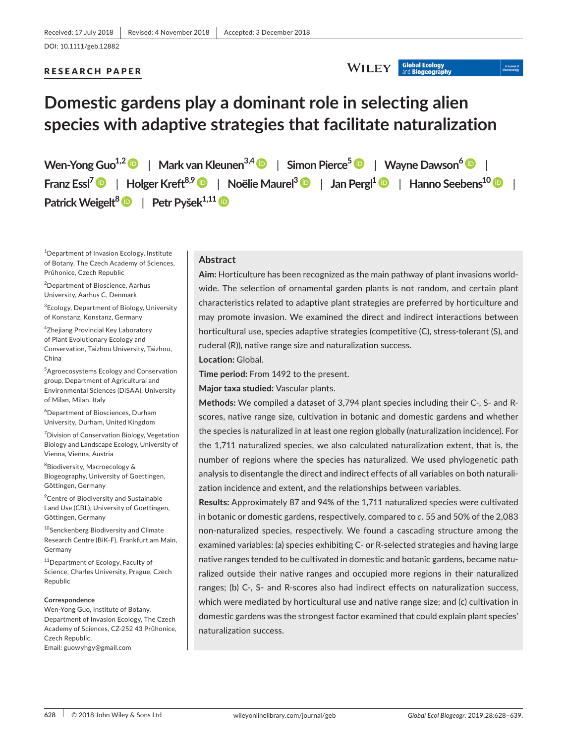## RESEARCH PAPER

#### **Global Ecology WILEY**

# A Journal<br>Macroscolo

# **Domestic gardens play a dominant role in selecting alien species with adaptive strategies that facilitate naturalization**

**Wen‐Yong Guo1,[2](https://orcid.org/0000-0002-4737-2042)** | **Mark vanKleunen3,4** | **Simon Pierce[5](https://orcid.org/0000-0003-1182-987X)** | **Wayne Dawson[6](https://orcid.org/0000-0003-3402-0774)** | **Franz Essl7** | **Holger Kreft8,[9](https://orcid.org/0000-0003-4471-8236)** | **Noëlie Maurel<sup>3</sup>** | **Jan Pergl[1](https://orcid.org/0000-0002-0045-1974)** | **Hanno Seebens1[0](https://orcid.org/0000-0001-8993-6419)** | **Patrick Weigelt<sup>8</sup>** | **Petr Pyšek1,1[1](https://orcid.org/0000-0001-8500-442X)**

1 Department of Invasion Ecology, Institute of Botany, The Czech Academy of Sciences, Průhonice, Czech Republic

2 Department of Bioscience, Aarhus University, Aarhus C, Denmark

3 Ecology, Department of Biology, University of Konstanz, Konstanz, Germany

4 Zhejiang Provincial Key Laboratory of Plant Evolutionary Ecology and Conservation, Taizhou University, Taizhou, China

5 Agroecosystems Ecology and Conservation group, Department of Agricultural and Environmental Sciences (DiSAA), University of Milan, Milan, Italy

6 Department of Biosciences, Durham University, Durham, United Kingdom

<sup>7</sup> Division of Conservation Biology, Vegetation Biology and Landscape Ecology, University of Vienna, Vienna, Austria

8 Biodiversity, Macroecology & Biogeography, University of Goettingen, Göttingen, Germany

9 Centre of Biodiversity and Sustainable Land Use (CBL), University of Goettingen, Göttingen, Germany

<sup>10</sup>Senckenberg Biodiversity and Climate Research Centre (BiK‐F), Frankfurt am Main, Germany

11Department of Ecology, Faculty of Science, Charles University, Prague, Czech Republic

#### **Correspondence**

Wen‐Yong Guo, Institute of Botany, Department of Invasion Ecology, The Czech Academy of Sciences, CZ‐252 43 Průhonice, Czech Republic.

Email: [guowyhgy@gmail.com](mailto:guowyhgy@gmail.com)

#### **Abstract**

**Aim:** Horticulture has been recognized as the main pathway of plant invasions world‐ wide. The selection of ornamental garden plants is not random, and certain plant characteristics related to adaptive plant strategies are preferred by horticulture and may promote invasion. We examined the direct and indirect interactions between horticultural use, species adaptive strategies (competitive (C), stress-tolerant (S), and ruderal (R)), native range size and naturalization success.

**Location:** Global.

**Time period:** From 1492 to the present.

**Major taxa studied:** Vascular plants.

**Methods:** We compiled a dataset of 3,794 plant species including their C‐, S‐ and R‐ scores, native range size, cultivation in botanic and domestic gardens and whether the species is naturalized in at least one region globally (naturalization incidence). For the 1,711 naturalized species, we also calculated naturalization extent, that is, the number of regions where the species has naturalized. We used phylogenetic path analysis to disentangle the direct and indirect effects of all variables on both naturali‐ zation incidence and extent, and the relationships between variables.

**Results:** Approximately 87 and 94% of the 1,711 naturalized species were cultivated in botanic or domestic gardens, respectively, compared to *c*. 55 and 50% of the 2,083 non‐naturalized species, respectively. We found a cascading structure among the examined variables: (a) species exhibiting C‐ or R‐selected strategies and having large native ranges tended to be cultivated in domestic and botanic gardens, became natu‐ ralized outside their native ranges and occupied more regions in their naturalized ranges; (b) C‐, S‐ and R‐scores also had indirect effects on naturalization success, which were mediated by horticultural use and native range size; and (c) cultivation in domestic gardens was the strongest factor examined that could explain plant species' naturalization success.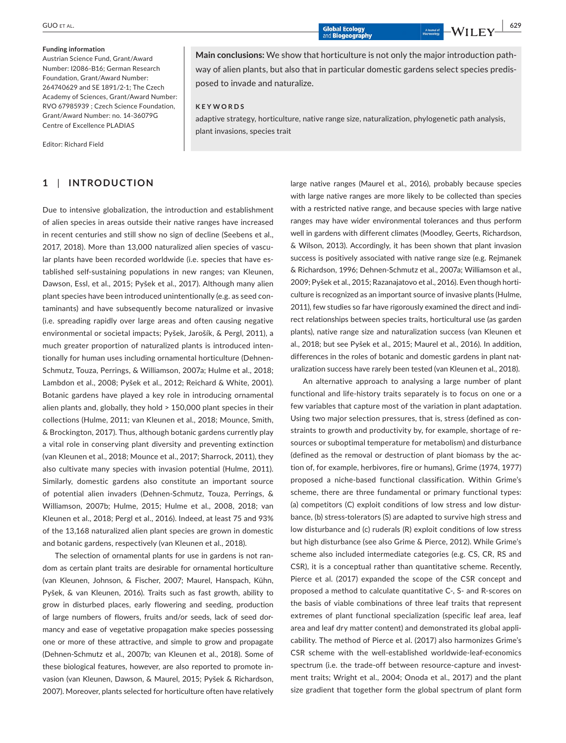#### **Funding information**

Austrian Science Fund, Grant/Award Number: I2086-B16; German Research Foundation, Grant/Award Number: 264740629 and SE 1891/2-1; The Czech Academy of Sciences, Grant/Award Number: RVO 67985939 ; Czech Science Foundation, Grant/Award Number: no. 14-36079G Centre of Excellence PLADIAS

Editor: Richard Field

# **1** | **INTRODUCTION**

Due to intensive globalization, the introduction and establishment of alien species in areas outside their native ranges have increased in recent centuries and still show no sign of decline (Seebens et al., 2017, 2018). More than 13,000 naturalized alien species of vascular plants have been recorded worldwide (i.e. species that have established self‐sustaining populations in new ranges; van Kleunen, Dawson, Essl, et al., 2015; Pyšek et al., 2017). Although many alien plant species have been introduced unintentionally (e.g. as seed con‐ taminants) and have subsequently become naturalized or invasive (i.e. spreading rapidly over large areas and often causing negative environmental or societal impacts; Pyšek, Jarošík, & Pergl, 2011), a much greater proportion of naturalized plants is introduced inten‐ tionally for human uses including ornamental horticulture (Dehnen‐ Schmutz, Touza, Perrings, & Williamson, 2007a; Hulme et al., 2018; Lambdon et al., 2008; Pyšek et al., 2012; Reichard & White, 2001). Botanic gardens have played a key role in introducing ornamental alien plants and, globally, they hold > 150,000 plant species in their collections (Hulme, 2011; van Kleunen et al., 2018; Mounce, Smith, & Brockington, 2017). Thus, although botanic gardens currently play a vital role in conserving plant diversity and preventing extinction (van Kleunen et al., 2018; Mounce et al., 2017; Sharrock, 2011), they also cultivate many species with invasion potential (Hulme, 2011). Similarly, domestic gardens also constitute an important source of potential alien invaders (Dehnen‐Schmutz, Touza, Perrings, & Williamson, 2007b; Hulme, 2015; Hulme et al., 2008, 2018; van Kleunen et al., 2018; Pergl et al., 2016). Indeed, at least 75 and 93% of the 13,168 naturalized alien plant species are grown in domestic and botanic gardens, respectively (van Kleunen et al., 2018).

The selection of ornamental plants for use in gardens is not ran‐ dom as certain plant traits are desirable for ornamental horticulture (van Kleunen, Johnson, & Fischer, 2007; Maurel, Hanspach, Kühn, Pyšek, & van Kleunen, 2016). Traits such as fast growth, ability to grow in disturbed places, early flowering and seeding, production of large numbers of flowers, fruits and/or seeds, lack of seed dor‐ mancy and ease of vegetative propagation make species possessing one or more of these attractive, and simple to grow and propagate (Dehnen‐Schmutz et al., 2007b; van Kleunen et al., 2018). Some of these biological features, however, are also reported to promote in‐ vasion (van Kleunen, Dawson, & Maurel, 2015; Pyšek & Richardson, 2007). Moreover, plants selected for horticulture often have relatively

**Main conclusions:** We show that horticulture is not only the major introduction path‐ way of alien plants, but also that in particular domestic gardens select species predis‐ posed to invade and naturalize.

#### **KEYWORDS**

adaptive strategy, horticulture, native range size, naturalization, phylogenetic path analysis, plant invasions, species trait

> large native ranges (Maurel et al., 2016), probably because species with large native ranges are more likely to be collected than species with a restricted native range, and because species with large native ranges may have wider environmental tolerances and thus perform well in gardens with different climates (Moodley, Geerts, Richardson, & Wilson, 2013). Accordingly, it has been shown that plant invasion success is positively associated with native range size (e.g. Rejmanek & Richardson, 1996; Dehnen‐Schmutz et al., 2007a; Williamson et al., 2009; Pyšek et al., 2015; Razanajatovo et al., 2016). Even though horti‐ culture is recognized as an important source of invasive plants (Hulme, 2011), few studies so far have rigorously examined the direct and indi‐ rect relationships between species traits, horticultural use (as garden plants), native range size and naturalization success (van Kleunen et al., 2018; but see Pyšek et al., 2015; Maurel et al., 2016). In addition, differences in the roles of botanic and domestic gardens in plant naturalization success have rarely been tested (van Kleunen et al., 2018).

> An alternative approach to analysing a large number of plant functional and life‐history traits separately is to focus on one or a few variables that capture most of the variation in plant adaptation. Using two major selection pressures, that is, stress (defined as con‐ straints to growth and productivity by, for example, shortage of re‐ sources or suboptimal temperature for metabolism) and disturbance (defined as the removal or destruction of plant biomass by the ac‐ tion of, for example, herbivores, fire or humans), Grime (1974, 1977) proposed a niche‐based functional classification. Within Grime's scheme, there are three fundamental or primary functional types: (a) competitors (C) exploit conditions of low stress and low distur‐ bance, (b) stress‐tolerators (S) are adapted to survive high stress and low disturbance and (c) ruderals (R) exploit conditions of low stress but high disturbance (see also Grime & Pierce, 2012). While Grime's scheme also included intermediate categories (e.g. CS, CR, RS and CSR), it is a conceptual rather than quantitative scheme. Recently, Pierce et al. (2017) expanded the scope of the CSR concept and proposed a method to calculate quantitative C‐, S‐ and R‐scores on the basis of viable combinations of three leaf traits that represent extremes of plant functional specialization (specific leaf area, leaf area and leaf dry matter content) and demonstrated its global appli‐ cability. The method of Pierce et al. (2017) also harmonizes Grime's CSR scheme with the well‐established worldwide‐leaf‐economics spectrum (i.e. the trade-off between resource-capture and investment traits; Wright et al., 2004; Onoda et al., 2017) and the plant size gradient that together form the global spectrum of plant form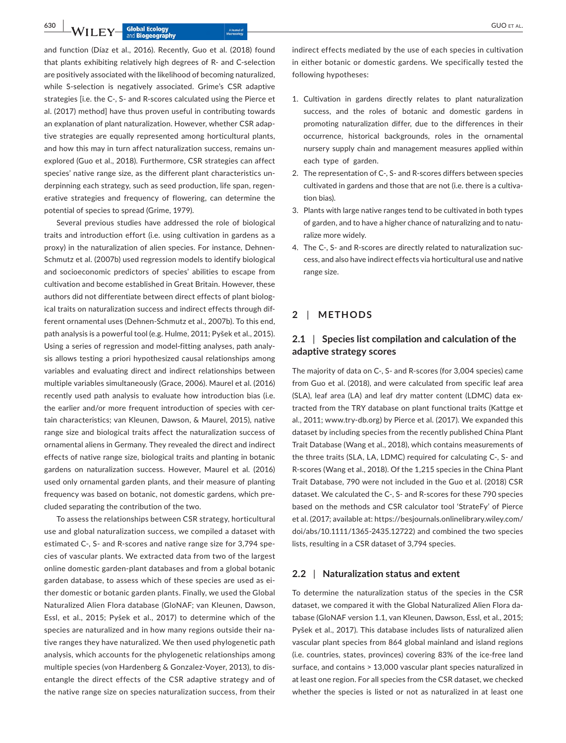and function (Díaz et al., 2016). Recently, Guo et al. (2018) found that plants exhibiting relatively high degrees of R‐ and C‐selection are positively associated with the likelihood of becoming naturalized, while S-selection is negatively associated. Grime's CSR adaptive strategies [i.e. the C‐, S‐ and R‐scores calculated using the Pierce et al. (2017) method] have thus proven useful in contributing towards an explanation of plant naturalization. However, whether CSR adaptive strategies are equally represented among horticultural plants, and how this may in turn affect naturalization success, remains un‐ explored (Guo et al., 2018). Furthermore, CSR strategies can affect species' native range size, as the different plant characteristics underpinning each strategy, such as seed production, life span, regen‐ erative strategies and frequency of flowering, can determine the potential of species to spread (Grime, 1979).

Several previous studies have addressed the role of biological traits and introduction effort (i.e. using cultivation in gardens as a proxy) in the naturalization of alien species. For instance, Dehnen-Schmutz et al. (2007b) used regression models to identify biological and socioeconomic predictors of species' abilities to escape from cultivation and become established in Great Britain. However, these authors did not differentiate between direct effects of plant biological traits on naturalization success and indirect effects through dif‐ ferent ornamental uses (Dehnen‐Schmutz et al., 2007b). To this end, path analysis is a powerful tool (e.g. Hulme, 2011; Pyšek et al., 2015). Using a series of regression and model‐fitting analyses, path analy‐ sis allows testing a priori hypothesized causal relationships among variables and evaluating direct and indirect relationships between multiple variables simultaneously (Grace, 2006). Maurel et al. (2016) recently used path analysis to evaluate how introduction bias (i.e. the earlier and/or more frequent introduction of species with certain characteristics; van Kleunen, Dawson, & Maurel, 2015), native range size and biological traits affect the naturalization success of ornamental aliens in Germany. They revealed the direct and indirect effects of native range size, biological traits and planting in botanic gardens on naturalization success. However, Maurel et al. (2016) used only ornamental garden plants, and their measure of planting frequency was based on botanic, not domestic gardens, which pre‐ cluded separating the contribution of the two.

To assess the relationships between CSR strategy, horticultural use and global naturalization success, we compiled a dataset with estimated C‐, S‐ and R‐scores and native range size for 3,794 spe‐ cies of vascular plants. We extracted data from two of the largest online domestic garden‐plant databases and from a global botanic garden database, to assess which of these species are used as ei‐ ther domestic or botanic garden plants. Finally, we used the Global Naturalized Alien Flora database (GloNAF; van Kleunen, Dawson, Essl, et al., 2015; Pyšek et al., 2017) to determine which of the species are naturalized and in how many regions outside their native ranges they have naturalized. We then used phylogenetic path analysis, which accounts for the phylogenetic relationships among multiple species (von Hardenberg & Gonzalez‐Voyer, 2013), to dis‐ entangle the direct effects of the CSR adaptive strategy and of the native range size on species naturalization success, from their

indirect effects mediated by the use of each species in cultivation in either botanic or domestic gardens. We specifically tested the following hypotheses:

- 1. Cultivation in gardens directly relates to plant naturalization success, and the roles of botanic and domestic gardens in promoting naturalization differ, due to the differences in their occurrence, historical backgrounds, roles in the ornamental nursery supply chain and management measures applied within each type of garden.
- 2. The representation of C‐, S‐ and R‐scores differs between species cultivated in gardens and those that are not (i.e. there is a cultiva‐ tion bias).
- 3. Plants with large native ranges tend to be cultivated in both types of garden, and to have a higher chance of naturalizing and to natu‐ ralize more widely.
- 4. The C‐, S‐ and R‐scores are directly related to naturalization suc‐ cess, and also have indirect effects via horticultural use and native range size.

# **2** | **METHODS**

# **2.1** | **Species list compilation and calculation of the adaptive strategy scores**

The majority of data on C‐, S‐ and R‐scores (for 3,004 species) came from Guo et al. (2018), and were calculated from specific leaf area (SLA), leaf area (LA) and leaf dry matter content (LDMC) data ex‐ tracted from the TRY database on plant functional traits (Kattge et al., 2011; [www.try-db.org\)](http://www.try-db.org) by Pierce et al. (2017). We expanded this dataset by including species from the recently published China Plant Trait Database (Wang et al., 2018), which contains measurements of the three traits (SLA, LA, LDMC) required for calculating C‐, S‐ and R‐scores (Wang et al., 2018). Of the 1,215 species in the China Plant Trait Database, 790 were not included in the Guo et al. (2018) CSR dataset. We calculated the C‐, S‐ and R‐scores for these 790 species based on the methods and CSR calculator tool 'StrateFy' of Pierce et al. (2017; available at: [https://besjournals.onlinelibrary.wiley.com/](https://besjournals.onlinelibrary.wiley.com/doi/abs/10.1111/) [doi/abs/10.1111/1](https://besjournals.onlinelibrary.wiley.com/doi/abs/10.1111/)365‐2435[.12722\)](https://.12722) and combined the two species lists, resulting in a CSR dataset of 3,794 species.

## **2.2** | **Naturalization status and extent**

To determine the naturalization status of the species in the CSR dataset, we compared it with the Global Naturalized Alien Flora da‐ tabase (GloNAF version 1.1, van Kleunen, Dawson, Essl, et al., 2015; Pyšek et al., 2017). This database includes lists of naturalized alien vascular plant species from 864 global mainland and island regions (i.e. countries, states, provinces) covering 83% of the ice‐free land surface, and contains > 13,000 vascular plant species naturalized in at least one region. For all species from the CSR dataset, we checked whether the species is listed or not as naturalized in at least one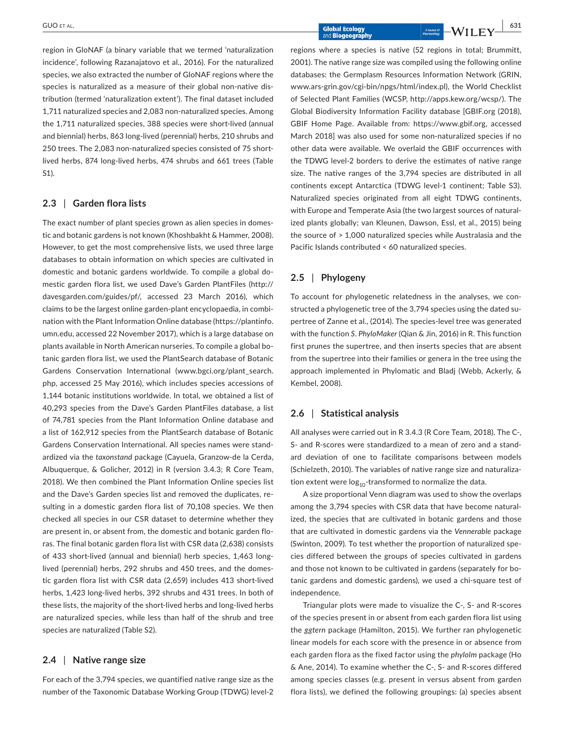region in GloNAF (a binary variable that we termed 'naturalization incidence', following Razanajatovo et al., 2016). For the naturalized species, we also extracted the number of GloNAF regions where the species is naturalized as a measure of their global non-native distribution (termed 'naturalization extent'). The final dataset included 1,711 naturalized species and 2,083 non‐naturalized species. Among the 1,711 naturalized species, 388 species were short‐lived (annual and biennial) herbs, 863 long‐lived (perennial) herbs, 210 shrubs and 250 trees. The 2,083 non‐naturalized species consisted of 75 short‐ lived herbs, 874 long‐lived herbs, 474 shrubs and 661 trees (Table S1).

# **2.3** | **Garden flora lists**

The exact number of plant species grown as alien species in domes‐ tic and botanic gardens is not known (Khoshbakht & Hammer, 2008). However, to get the most comprehensive lists, we used three large databases to obtain information on which species are cultivated in domestic and botanic gardens worldwide. To compile a global do‐ mestic garden flora list, we used Dave's Garden PlantFiles ([http://](http://davesgarden.com/guides/pf/) [davesgarden.com/guides/pf/](http://davesgarden.com/guides/pf/), accessed 23 March 2016), which claims to be the largest online garden‐plant encyclopaedia, in combi‐ nation with the Plant Information Online database ([https://plantinfo.](https://plantinfo.umn.edu) [umn.edu](https://plantinfo.umn.edu), accessed 22 November 2017), which is a large database on plants available in North American nurseries. To compile a global botanic garden flora list, we used the PlantSearch database of Botanic Gardens Conservation International ([www.bgci.org/plant\\_search.](http://www.bgci.org/plant_search.php) [php,](http://www.bgci.org/plant_search.php) accessed 25 May 2016), which includes species accessions of 1,144 botanic institutions worldwide. In total, we obtained a list of 40,293 species from the Dave's Garden PlantFiles database, a list of 74,781 species from the Plant Information Online database and a list of 162,912 species from the PlantSearch database of Botanic Gardens Conservation International. All species names were stand‐ ardized via the *taxonstand* package (Cayuela, Granzow‐de la Cerda, Albuquerque, & Golicher, 2012) in R (version 3.4.3; R Core Team, 2018). We then combined the Plant Information Online species list and the Dave's Garden species list and removed the duplicates, re‐ sulting in a domestic garden flora list of 70,108 species. We then checked all species in our CSR dataset to determine whether they are present in, or absent from, the domestic and botanic garden floras. The final botanic garden flora list with CSR data (2,638) consists of 433 short‐lived (annual and biennial) herb species, 1,463 long‐ lived (perennial) herbs, 292 shrubs and 450 trees, and the domes‐ tic garden flora list with CSR data (2,659) includes 413 short‐lived herbs, 1,423 long‐lived herbs, 392 shrubs and 431 trees. In both of these lists, the majority of the short‐lived herbs and long‐lived herbs are naturalized species, while less than half of the shrub and tree species are naturalized (Table S2).

# **2.4** | **Native range size**

For each of the 3,794 species, we quantified native range size as the number of the Taxonomic Database Working Group (TDWG) level‐2 regions where a species is native (52 regions in total; Brummitt, 2001). The native range size was compiled using the following online databases: the Germplasm Resources Information Network (GRIN, [www.ars-grin.gov/cgi-bin/npgs/html/index.pl\)](http://www.ars-grin.gov/cgi-bin/npgs/html/index.pl), the World Checklist of Selected Plant Families (WCSP, <http://apps.kew.org/wcsp/>). The Global Biodiversity Information Facility database [GBIF.org (2018), GBIF Home Page. Available from: <https://www.gbif.org>, accessed March 2018] was also used for some non‐naturalized species if no other data were available. We overlaid the GBIF occurrences with the TDWG level‐2 borders to derive the estimates of native range size. The native ranges of the 3,794 species are distributed in all continents except Antarctica (TDWG level‐1 continent; Table S3). Naturalized species originated from all eight TDWG continents, with Europe and Temperate Asia (the two largest sources of naturalized plants globally; van Kleunen, Dawson, Essl, et al., 2015) being the source of > 1,000 naturalized species while Australasia and the Pacific Islands contributed < 60 naturalized species.

## **2.5** | **Phylogeny**

To account for phylogenetic relatedness in the analyses, we con‐ structed a phylogenetic tree of the 3,794 species using the dated supertree of Zanne et al., (2014). The species‐level tree was generated with the function *S*. *PhyloMaker* (Qian & Jin, 2016) in R. This function first prunes the supertree, and then inserts species that are absent from the supertree into their families or genera in the tree using the approach implemented in Phylomatic and Bladj (Webb, Ackerly, & Kembel, 2008).

## **2.6** | **Statistical analysis**

All analyses were carried out in R 3.4.3 (R Core Team, 2018). The C‐, S‐ and R‐scores were standardized to a mean of zero and a stand‐ ard deviation of one to facilitate comparisons between models (Schielzeth, 2010). The variables of native range size and naturaliza‐ tion extent were  $log_{10}$ -transformed to normalize the data.

A size proportional Venn diagram was used to show the overlaps among the 3,794 species with CSR data that have become natural‐ ized, the species that are cultivated in botanic gardens and those that are cultivated in domestic gardens via the *Vennerable* package (Swinton, 2009). To test whether the proportion of naturalized spe‐ cies differed between the groups of species cultivated in gardens and those not known to be cultivated in gardens (separately for bo‐ tanic gardens and domestic gardens), we used a chi‐square test of independence.

Triangular plots were made to visualize the C‐, S‐ and R‐scores of the species present in or absent from each garden flora list using the *ggtern* package (Hamilton, 2015). We further ran phylogenetic linear models for each score with the presence in or absence from each garden flora as the fixed factor using the *phylolm* package (Ho & Ane, 2014). To examine whether the C‐, S‐ and R‐scores differed among species classes (e.g. present in versus absent from garden flora lists), we defined the following groupings: (a) species absent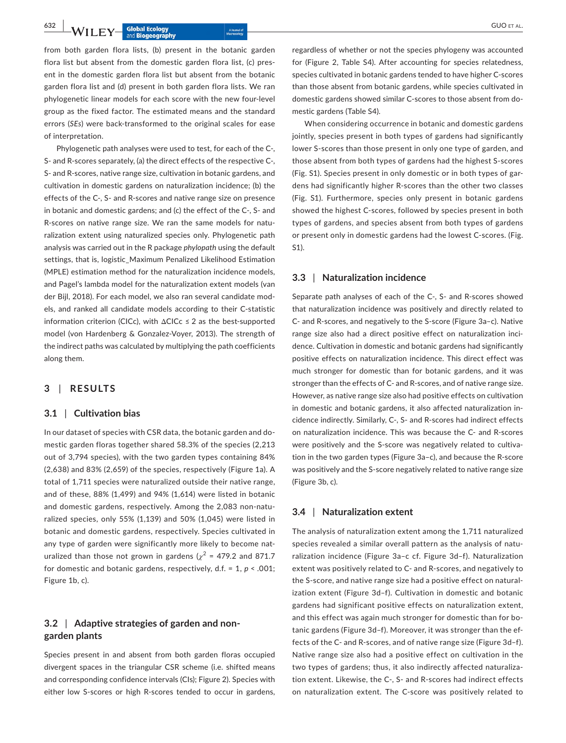**632 | b**  $\bf{M}/\bf{H}$  **F**  $\bf{N}$  **GUO et al.** Abound a bound of a bound of a bound of a bound of a bound of a bound of a bound of a bound of a bound of  $\bf{M}/\bf{H}$  **GUO** et al.

from both garden flora lists, (b) present in the botanic garden flora list but absent from the domestic garden flora list, (c) present in the domestic garden flora list but absent from the botanic garden flora list and (d) present in both garden flora lists. We ran phylogenetic linear models for each score with the new four‐level group as the fixed factor. The estimated means and the standard errors (*SEs*) were back‐transformed to the original scales for ease of interpretation.

Phylogenetic path analyses were used to test, for each of the C‐, S‐ and R‐scores separately, (a) the direct effects of the respective C‐, S‐ and R‐scores, native range size, cultivation in botanic gardens, and cultivation in domestic gardens on naturalization incidence; (b) the effects of the C‐, S‐ and R‐scores and native range size on presence in botanic and domestic gardens; and (c) the effect of the C‐, S‐ and R‐scores on native range size. We ran the same models for natu‐ ralization extent using naturalized species only. Phylogenetic path analysis was carried out in the R package *phylopath* using the default settings, that is, logistic\_Maximum Penalized Likelihood Estimation (MPLE) estimation method for the naturalization incidence models, and Pagel's lambda model for the naturalization extent models (van der Bijl, 2018). For each model, we also ran several candidate mod‐ els, and ranked all candidate models according to their C‐statistic information criterion (CICc), with  $\Delta CICc \leq 2$  as the best-supported model (von Hardenberg & Gonzalez‐Voyer, 2013). The strength of the indirect paths was calculated by multiplying the path coefficients along them.

## **3** | **RESULTS**

#### **3.1** | **Cultivation bias**

In our dataset of species with CSR data, the botanic garden and do‐ mestic garden floras together shared 58.3% of the species (2,213 out of 3,794 species), with the two garden types containing 84% (2,638) and 83% (2,659) of the species, respectively (Figure 1a). A total of 1,711 species were naturalized outside their native range, and of these, 88% (1,499) and 94% (1,614) were listed in botanic and domestic gardens, respectively. Among the 2,083 non-naturalized species, only 55% (1,139) and 50% (1,045) were listed in botanic and domestic gardens, respectively. Species cultivated in any type of garden were significantly more likely to become naturalized than those not grown in gardens ( $\chi^2$  = 479.2 and 871.7 for domestic and botanic gardens, respectively, d.f. = 1, *p* < .001; Figure 1b, c).

## **3.2** | **Adaptive strategies of garden and non‐ garden plants**

Species present in and absent from both garden floras occupied divergent spaces in the triangular CSR scheme (i.e. shifted means and corresponding confidence intervals (CIs); Figure 2). Species with either low S‐scores or high R‐scores tended to occur in gardens,

regardless of whether or not the species phylogeny was accounted for (Figure 2, Table S4). After accounting for species relatedness, species cultivated in botanic gardens tended to have higher C‐scores than those absent from botanic gardens, while species cultivated in domestic gardens showed similar C‐scores to those absent from do‐ mestic gardens (Table S4).

When considering occurrence in botanic and domestic gardens jointly, species present in both types of gardens had significantly lower S‐scores than those present in only one type of garden, and those absent from both types of gardens had the highest S‐scores (Fig. S1). Species present in only domestic or in both types of gar‐ dens had significantly higher R‐scores than the other two classes (Fig. S1). Furthermore, species only present in botanic gardens showed the highest C‐scores, followed by species present in both types of gardens, and species absent from both types of gardens or present only in domestic gardens had the lowest C‐scores. (Fig. S1).

## **3.3** | **Naturalization incidence**

Separate path analyses of each of the C‐, S‐ and R‐scores showed that naturalization incidence was positively and directly related to C‐ and R‐scores, and negatively to the S‐score (Figure 3a–c). Native range size also had a direct positive effect on naturalization inci‐ dence. Cultivation in domestic and botanic gardens had significantly positive effects on naturalization incidence. This direct effect was much stronger for domestic than for botanic gardens, and it was stronger than the effects of C‐ and R‐scores, and of native range size. However, as native range size also had positive effects on cultivation in domestic and botanic gardens, it also affected naturalization in‐ cidence indirectly. Similarly, C‐, S‐ and R‐scores had indirect effects on naturalization incidence. This was because the C‐ and R‐scores were positively and the S-score was negatively related to cultivation in the two garden types (Figure 3a–c), and because the R‐score was positively and the S-score negatively related to native range size (Figure 3b, c).

## **3.4** | **Naturalization extent**

The analysis of naturalization extent among the 1,711 naturalized species revealed a similar overall pattern as the analysis of naturalization incidence (Figure 3a–c cf. Figure 3d–f). Naturalization extent was positively related to C‐ and R‐scores, and negatively to the S‐score, and native range size had a positive effect on natural‐ ization extent (Figure 3d–f). Cultivation in domestic and botanic gardens had significant positive effects on naturalization extent, and this effect was again much stronger for domestic than for botanic gardens (Figure 3d–f). Moreover, it was stronger than the ef‐ fects of the C‐ and R‐scores, and of native range size (Figure 3d–f). Native range size also had a positive effect on cultivation in the two types of gardens; thus, it also indirectly affected naturaliza‐ tion extent. Likewise, the C‐, S‐ and R‐scores had indirect effects on naturalization extent. The C‐score was positively related to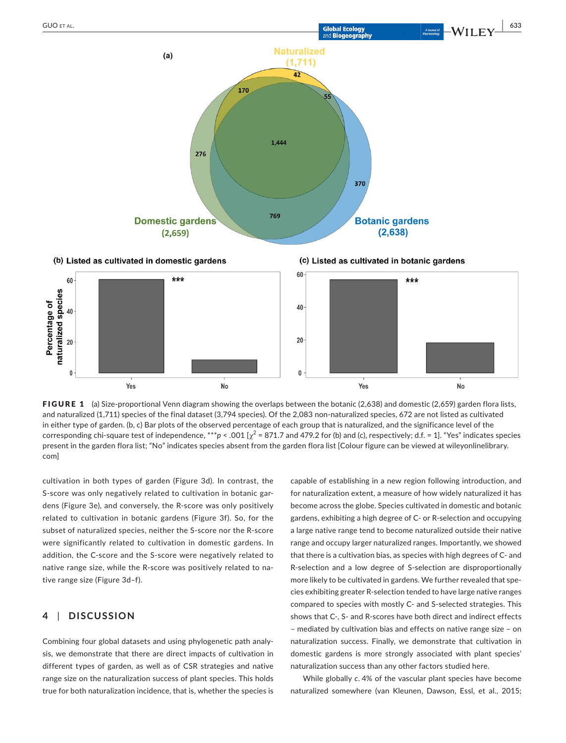

370





**Botanic gardens** 

 $(2,638)$ 



1,444

769

276

**Domestic gardens** 

 $(2,659)$ 

FIGURE 1 (a) Size-proportional Venn diagram showing the overlaps between the botanic (2,638) and domestic (2,659) garden flora lists, and naturalized (1,711) species of the final dataset (3,794 species). Of the 2,083 non-naturalized species, 672 are not listed as cultivated in either type of garden. (b, c) Bar plots of the observed percentage of each group that is naturalized, and the significance level of the corresponding chi-square test of independence, \*\*\* $p$  < .001 [ $\chi^2$  = 871.7 and 479.2 for (b) and (c), respectively; d.f. = 1]. "Yes" indicates species present in the garden flora list; "No" indicates species absent from the garden flora list [Colour figure can be viewed at [wileyonlinelibrary.](www.wileyonlinelibrary.com) [com\]](www.wileyonlinelibrary.com)

cultivation in both types of garden (Figure 3d). In contrast, the S-score was only negatively related to cultivation in botanic gardens (Figure 3e), and conversely, the R‐score was only positively related to cultivation in botanic gardens (Figure 3f). So, for the subset of naturalized species, neither the S‐score nor the R‐score were significantly related to cultivation in domestic gardens. In addition, the C‐score and the S‐score were negatively related to native range size, while the R-score was positively related to native range size (Figure 3d–f).

# **4** | **DISCUSSION**

Combining four global datasets and using phylogenetic path analy‐ sis, we demonstrate that there are direct impacts of cultivation in different types of garden, as well as of CSR strategies and native range size on the naturalization success of plant species. This holds true for both naturalization incidence, that is, whether the species is capable of establishing in a new region following introduction, and for naturalization extent, a measure of how widely naturalized it has become across the globe. Species cultivated in domestic and botanic gardens, exhibiting a high degree of C‐ or R‐selection and occupying a large native range tend to become naturalized outside their native range and occupy larger naturalized ranges. Importantly, we showed that there is a cultivation bias, as species with high degrees of C‐ and R‐selection and a low degree of S‐selection are disproportionally more likely to be cultivated in gardens. We further revealed that spe‐ cies exhibiting greater R‐selection tended to have large native ranges compared to species with mostly C‐ and S‐selected strategies. This shows that C‐, S‐ and R‐scores have both direct and indirect effects – mediated by cultivation bias and effects on native range size – on naturalization success. Finally, we demonstrate that cultivation in domestic gardens is more strongly associated with plant species' naturalization success than any other factors studied here.

While globally *c*. 4% of the vascular plant species have become naturalized somewhere (van Kleunen, Dawson, Essl, et al., 2015;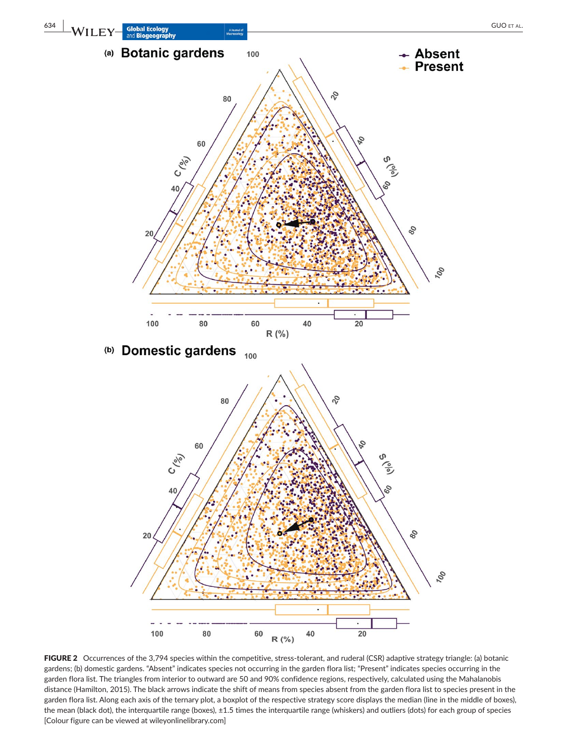

FIGURE 2 Occurrences of the 3,794 species within the competitive, stress-tolerant, and ruderal (CSR) adaptive strategy triangle: (a) botanic gardens; (b) domestic gardens. "Absent" indicates species not occurring in the garden flora list; "Present" indicates species occurring in the garden flora list. The triangles from interior to outward are 50 and 90% confidence regions, respectively, calculated using the Mahalanobis distance (Hamilton, 2015). The black arrows indicate the shift of means from species absent from the garden flora list to species present in the garden flora list. Along each axis of the ternary plot, a boxplot of the respective strategy score displays the median (line in the middle of boxes), the mean (black dot), the interquartile range (boxes), ±1.5 times the interquartile range (whiskers) and outliers (dots) for each group of species [Colour figure can be viewed at [wileyonlinelibrary.com](www.wileyonlinelibrary.com)]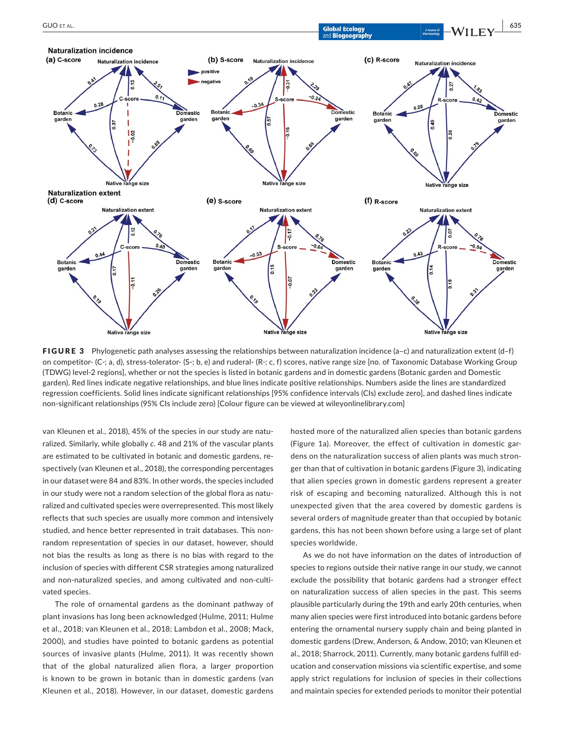

FIGURE 3 Phylogenetic path analyses assessing the relationships between naturalization incidence (a-c) and naturalization extent (d-f) on competitor‐ (C‐; a, d), stress‐tolerator‐ (S‐; b, e) and ruderal‐ (R‐; c, f) scores, native range size [no. of Taxonomic Database Working Group (TDWG) level‐2 regions], whether or not the species is listed in botanic gardens and in domestic gardens (Botanic garden and Domestic garden). Red lines indicate negative relationships, and blue lines indicate positive relationships. Numbers aside the lines are standardized regression coefficients. Solid lines indicate significant relationships [95% confidence intervals (CIs) exclude zero], and dashed lines indicate non‐significant relationships (95% CIs include zero) [Colour figure can be viewed at [wileyonlinelibrary.com\]](www.wileyonlinelibrary.com)

van Kleunen et al., 2018), 45% of the species in our study are natu‐ ralized. Similarly, while globally *c*. 48 and 21% of the vascular plants are estimated to be cultivated in botanic and domestic gardens, re‐ spectively (van Kleunen et al., 2018), the corresponding percentages in our dataset were 84 and 83%. In other words, the species included in our study were not a random selection of the global flora as naturalized and cultivated species were overrepresented. This most likely reflects that such species are usually more common and intensively studied, and hence better represented in trait databases. This non‐ random representation of species in our dataset, however, should not bias the results as long as there is no bias with regard to the inclusion of species with different CSR strategies among naturalized and non-naturalized species, and among cultivated and non-cultivated species.

The role of ornamental gardens as the dominant pathway of plant invasions has long been acknowledged (Hulme, 2011; Hulme et al., 2018; van Kleunen et al., 2018; Lambdon et al., 2008; Mack, 2000), and studies have pointed to botanic gardens as potential sources of invasive plants (Hulme, 2011). It was recently shown that of the global naturalized alien flora, a larger proportion is known to be grown in botanic than in domestic gardens (van Kleunen et al., 2018). However, in our dataset, domestic gardens hosted more of the naturalized alien species than botanic gardens (Figure 1a). Moreover, the effect of cultivation in domestic gar‐ dens on the naturalization success of alien plants was much stron‐ ger than that of cultivation in botanic gardens (Figure 3), indicating that alien species grown in domestic gardens represent a greater risk of escaping and becoming naturalized. Although this is not unexpected given that the area covered by domestic gardens is several orders of magnitude greater than that occupied by botanic gardens, this has not been shown before using a large set of plant species worldwide.

As we do not have information on the dates of introduction of species to regions outside their native range in our study, we cannot exclude the possibility that botanic gardens had a stronger effect on naturalization success of alien species in the past. This seems plausible particularly during the 19th and early 20th centuries, when many alien species were first introduced into botanic gardens before entering the ornamental nursery supply chain and being planted in domestic gardens (Drew, Anderson, & Andow, 2010; van Kleunen et al., 2018; Sharrock, 2011). Currently, many botanic gardens fulfill ed‐ ucation and conservation missions via scientific expertise, and some apply strict regulations for inclusion of species in their collections and maintain species for extended periods to monitor their potential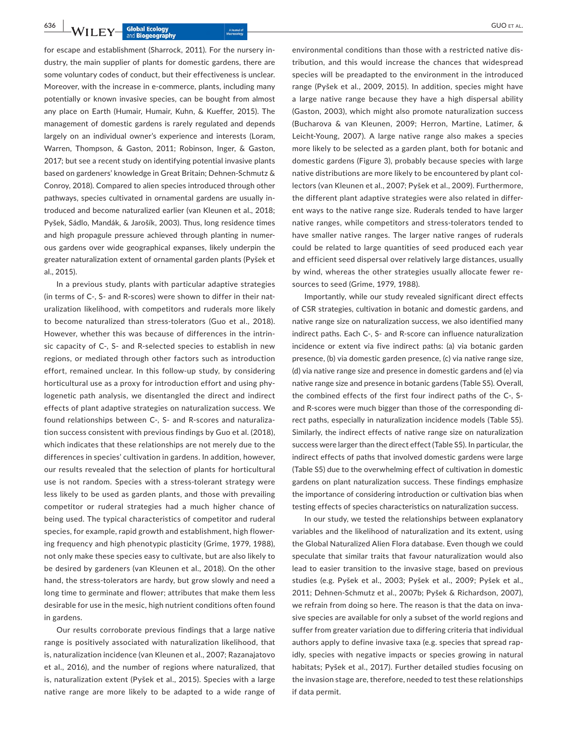for escape and establishment (Sharrock, 2011). For the nursery in‐ dustry, the main supplier of plants for domestic gardens, there are some voluntary codes of conduct, but their effectiveness is unclear. Moreover, with the increase in e-commerce, plants, including many potentially or known invasive species, can be bought from almost any place on Earth (Humair, Humair, Kuhn, & Kueffer, 2015). The management of domestic gardens is rarely regulated and depends largely on an individual owner's experience and interests (Loram, Warren, Thompson, & Gaston, 2011; Robinson, Inger, & Gaston, 2017; but see a recent study on identifying potential invasive plants based on gardeners' knowledge in Great Britain; Dehnen‐Schmutz & Conroy, 2018). Compared to alien species introduced through other pathways, species cultivated in ornamental gardens are usually in‐ troduced and become naturalized earlier (van Kleunen et al., 2018; Pyšek, Sádlo, Mandák, & Jarošík, 2003). Thus, long residence times and high propagule pressure achieved through planting in numer‐ ous gardens over wide geographical expanses, likely underpin the greater naturalization extent of ornamental garden plants (Pyšek et al., 2015).

In a previous study, plants with particular adaptive strategies (in terms of C‐, S‐ and R‐scores) were shown to differ in their nat‐ uralization likelihood, with competitors and ruderals more likely to become naturalized than stress-tolerators (Guo et al., 2018). However, whether this was because of differences in the intrin‐ sic capacity of C-, S- and R-selected species to establish in new regions, or mediated through other factors such as introduction effort, remained unclear. In this follow‐up study, by considering horticultural use as a proxy for introduction effort and using phylogenetic path analysis, we disentangled the direct and indirect effects of plant adaptive strategies on naturalization success. We found relationships between C‐, S‐ and R‐scores and naturaliza‐ tion success consistent with previous findings by Guo et al. (2018), which indicates that these relationships are not merely due to the differences in species' cultivation in gardens. In addition, however, our results revealed that the selection of plants for horticultural use is not random. Species with a stress-tolerant strategy were less likely to be used as garden plants, and those with prevailing competitor or ruderal strategies had a much higher chance of being used. The typical characteristics of competitor and ruderal species, for example, rapid growth and establishment, high flower‐ ing frequency and high phenotypic plasticity (Grime, 1979, 1988), not only make these species easy to cultivate, but are also likely to be desired by gardeners (van Kleunen et al., 2018). On the other hand, the stress-tolerators are hardy, but grow slowly and need a long time to germinate and flower; attributes that make them less desirable for use in the mesic, high nutrient conditions often found in gardens.

Our results corroborate previous findings that a large native range is positively associated with naturalization likelihood, that is, naturalization incidence (van Kleunen et al., 2007; Razanajatovo et al., 2016), and the number of regions where naturalized, that is, naturalization extent (Pyšek et al., 2015). Species with a large native range are more likely to be adapted to a wide range of

environmental conditions than those with a restricted native dis‐ tribution, and this would increase the chances that widespread species will be preadapted to the environment in the introduced range (Pyšek et al., 2009, 2015). In addition, species might have a large native range because they have a high dispersal ability (Gaston, 2003), which might also promote naturalization success (Bucharova & van Kleunen, 2009; Herron, Martine, Latimer, & Leicht‐Young, 2007). A large native range also makes a species more likely to be selected as a garden plant, both for botanic and domestic gardens (Figure 3), probably because species with large native distributions are more likely to be encountered by plant col‐ lectors (van Kleunen et al., 2007; Pyšek et al., 2009). Furthermore, the different plant adaptive strategies were also related in differ‐ ent ways to the native range size. Ruderals tended to have larger native ranges, while competitors and stress-tolerators tended to have smaller native ranges. The larger native ranges of ruderals could be related to large quantities of seed produced each year and efficient seed dispersal over relatively large distances, usually by wind, whereas the other strategies usually allocate fewer re‐ sources to seed (Grime, 1979, 1988).

Importantly, while our study revealed significant direct effects of CSR strategies, cultivation in botanic and domestic gardens, and native range size on naturalization success, we also identified many indirect paths. Each C‐, S‐ and R‐score can influence naturalization incidence or extent via five indirect paths: (a) via botanic garden presence, (b) via domestic garden presence, (c) via native range size, (d) via native range size and presence in domestic gardens and (e) via native range size and presence in botanic gardens (Table S5). Overall, the combined effects of the first four indirect paths of the C‐, S‐ and R-scores were much bigger than those of the corresponding direct paths, especially in naturalization incidence models (Table S5). Similarly, the indirect effects of native range size on naturalization success were larger than the direct effect (Table S5). In particular, the indirect effects of paths that involved domestic gardens were large (Table S5) due to the overwhelming effect of cultivation in domestic gardens on plant naturalization success. These findings emphasize the importance of considering introduction or cultivation bias when testing effects of species characteristics on naturalization success.

In our study, we tested the relationships between explanatory variables and the likelihood of naturalization and its extent, using the Global Naturalized Alien Flora database. Even though we could speculate that similar traits that favour naturalization would also lead to easier transition to the invasive stage, based on previous studies (e.g. Pyšek et al., 2003; Pyšek et al., 2009; Pyšek et al., 2011; Dehnen‐Schmutz et al., 2007b; Pyšek & Richardson, 2007), we refrain from doing so here. The reason is that the data on invasive species are available for only a subset of the world regions and suffer from greater variation due to differing criteria that individual authors apply to define invasive taxa (e.g. species that spread rap‐ idly, species with negative impacts or species growing in natural habitats; Pyšek et al., 2017). Further detailed studies focusing on the invasion stage are, therefore, needed to test these relationships if data permit.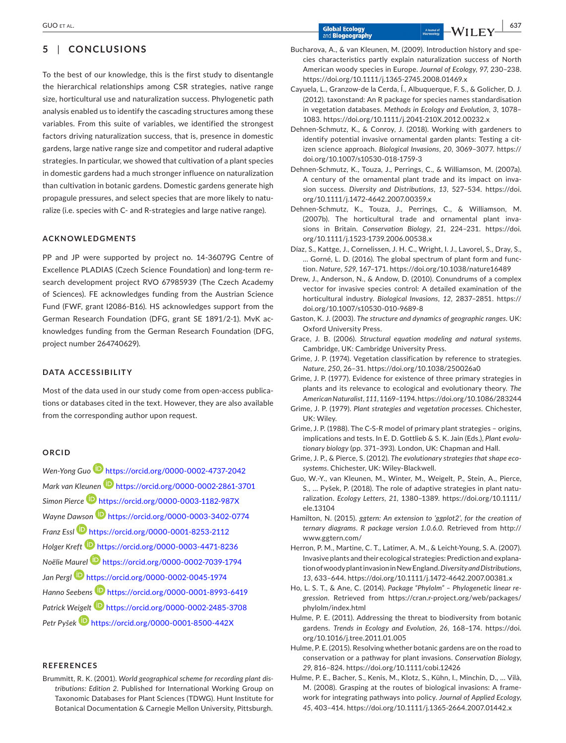# **5** | **CONCLUSIONS**

To the best of our knowledge, this is the first study to disentangle the hierarchical relationships among CSR strategies, native range size, horticultural use and naturalization success. Phylogenetic path analysis enabled us to identify the cascading structures among these variables. From this suite of variables, we identified the strongest factors driving naturalization success, that is, presence in domestic gardens, large native range size and competitor and ruderal adaptive strategies. In particular, we showed that cultivation of a plant species in domestic gardens had a much stronger influence on naturalization than cultivation in botanic gardens. Domestic gardens generate high propagule pressures, and select species that are more likely to natu‐ ralize (i.e. species with C‐ and R‐strategies and large native range).

## **ACKNOWLEDGMENTS**

PP and JP were supported by project no. 14‐36079G Centre of Excellence PLADIAS (Czech Science Foundation) and long‐term re‐ search development project RVO 67985939 (The Czech Academy of Sciences). FE acknowledges funding from the Austrian Science Fund (FWF, grant I2086‐B16). HS acknowledges support from the German Research Foundation (DFG, grant SE 1891/2‐1). MvK ac‐ knowledges funding from the German Research Foundation (DFG, project number 264740629).

## **DATA ACCESSIBILITY**

Most of the data used in our study come from open-access publications or databases cited in the text. However, they are also available from the corresponding author upon request.

## **ORCID**

*Wen‐Yong Guo* <https://orcid.org/0000-0002-4737-2042> *Mark van Kleunen* <https://orcid.org/0000-0002-2861-3701> *Simon Pierce* <https://orcid.org/0000-0003-1182-987X> *Wayne Dawson* <https://orcid.org/0000-0003-3402-0774> *Franz Essl* <https://orcid.org/0000-0001-8253-2112> *Holger Kreft* <https://orcid.org/0000-0003-4471-8236> *Noëlie Maurel* <https://orcid.org/0000-0002-7039-1794> *Jan Pergl* <https://orcid.org/0000-0002-0045-1974> *Hanno Seeben[s](https://orcid.org/0000-0001-8993-6419)* <https://orcid.org/0000-0001-8993-6419> *Patrick Weigel[t](https://orcid.org/0000-0002-2485-3708)* <https://orcid.org/0000-0002-2485-3708> *Petr Pyšek* <https://orcid.org/0000-0001-8500-442X>

#### **REFERENCES**

Brummitt, R. K. (2001). *World geographical scheme for recording plant dis‐ tributions: Edition 2*. Published for International Working Group on Taxonomic Databases for Plant Sciences (TDWG). Hunt Institute for Botanical Documentation & Carnegie Mellon University, Pittsburgh. <https://doi.org/10.1111/j.1365-2745.2008.01469.x>

- Cayuela, L., Granzow‐de la Cerda, Í., Albuquerque, F. S., & Golicher, D. J. (2012). taxonstand: An R package for species names standardisation in vegetation databases. *Methods in Ecology and Evolution*, *3*, 1078– 1083.<https://doi.org/10.1111/j.2041-210X.2012.00232.x>
- Dehnen‐Schmutz, K., & Conroy, J. (2018). Working with gardeners to identify potential invasive ornamental garden plants: Testing a citizen science approach. *Biological Invasions*, *20*, 3069–3077. [https://](https://doi.org/10.1007/s10530-018-1759-3) [doi.org/10.1007/s10530-018-1759-3](https://doi.org/10.1007/s10530-018-1759-3)
- Dehnen‐Schmutz, K., Touza, J., Perrings, C., & Williamson, M. (2007a). A century of the ornamental plant trade and its impact on inva‐ sion success. *Diversity and Distributions*, *13*, 527–534. [https://doi.](https://doi.org/10.1111/j.1472-4642.2007.00359.x) [org/10.1111/j.1472-4642.2007.00359.x](https://doi.org/10.1111/j.1472-4642.2007.00359.x)
- Dehnen‐Schmutz, K., Touza, J., Perrings, C., & Williamson, M. (2007b). The horticultural trade and ornamental plant inva‐ sions in Britain. *Conservation Biology*, *21*, 224–231. [https://doi.](https://doi.org/10.1111/j.1523-1739.2006.00538.x) [org/10.1111/j.1523-1739.2006.00538.x](https://doi.org/10.1111/j.1523-1739.2006.00538.x)
- Díaz, S., Kattge, J., Cornelissen, J. H. C., Wright, I. J., Lavorel, S., Dray, S., … Gorné, L. D. (2016). The global spectrum of plant form and func‐ tion. *Nature*, *529*, 167–171.<https://doi.org/10.1038/nature16489>
- Drew, J., Anderson, N., & Andow, D. (2010). Conundrums of a complex vector for invasive species control: A detailed examination of the horticultural industry. *Biological Invasions*, *12*, 2837–2851. [https://](https://doi.org/10.1007/s10530-010-9689-8) [doi.org/10.1007/s10530-010-9689-8](https://doi.org/10.1007/s10530-010-9689-8)
- Gaston, K. J. (2003). *The structure and dynamics of geographic ranges*. UK: Oxford University Press.
- Grace, J. B. (2006). *Structural equation modeling and natural systems*. Cambridge, UK: Cambridge University Press.
- Grime, J. P. (1974). Vegetation classification by reference to strategies. *Nature*, *250*, 26–31. <https://doi.org/10.1038/250026a0>
- Grime, J. P. (1977). Evidence for existence of three primary strategies in plants and its relevance to ecological and evolutionary theory. *The American Naturalist*, *111*, 1169–1194.<https://doi.org/10.1086/283244>
- Grime, J. P. (1979). *Plant strategies and vegetation processes*. Chichester, UK: Wiley.
- Grime, J. P. (1988). The C‐S‐R model of primary plant strategies origins, implications and tests. In E. D. Gottlieb & S. K. Jain (Eds.), *Plant evolu‐ tionary biology* (pp. 371–393). London, UK: Chapman and Hall.
- Grime, J. P., & Pierce, S. (2012). *The evolutionary strategies that shape eco‐ systems*. Chichester, UK: Wiley‐Blackwell.
- Guo, W.‐Y., van Kleunen, M., Winter, M., Weigelt, P., Stein, A., Pierce, S., … Pyšek, P. (2018). The role of adaptive strategies in plant natu‐ ralization. *Ecology Letters*, *21*, 1380–1389. [https://doi.org/10.1111/](https://doi.org/10.1111/ele.13104) [ele.13104](https://doi.org/10.1111/ele.13104)
- Hamilton, N. (2015). *ggtern: An extension to 'ggplot2', for the creation of ternary diagrams. R package version 1.0.6.0*. Retrieved from [http://](http://www.ggtern.com/) [www.ggtern.com/](http://www.ggtern.com/)
- Herron, P. M., Martine, C. T., Latimer, A. M., & Leicht‐Young, S. A. (2007). Invasive plants and their ecological strategies: Prediction and explana‐ tion of woody plant invasion in New England. *Diversity and Distributions*, *13*, 633–644. <https://doi.org/10.1111/j.1472-4642.2007.00381.x>
- Ho, L. S. T., & Ane, C. (2014). *Package "Phylolm" Phylogenetic linear re‐ gression*. Retrieved from [https://cran.r-project.org/web/packages/](https://cran.r-project.org/web/packages/phylolm/index.html) [phylolm/index.html](https://cran.r-project.org/web/packages/phylolm/index.html)
- Hulme, P. E. (2011). Addressing the threat to biodiversity from botanic gardens. *Trends in Ecology and Evolution*, *26*, 168–174. [https://doi.](https://doi.org/10.1016/j.tree.2011.01.005) [org/10.1016/j.tree.2011.01.005](https://doi.org/10.1016/j.tree.2011.01.005)
- Hulme, P. E. (2015). Resolving whether botanic gardens are on the road to conservation or a pathway for plant invasions. *Conservation Biology*, *29*, 816–824.<https://doi.org/10.1111/cobi.12426>
- Hulme, P. E., Bacher, S., Kenis, M., Klotz, S., Kühn, I., Minchin, D., … Vilà, M. (2008). Grasping at the routes of biological invasions: A frame‐ work for integrating pathways into policy. *Journal of Applied Ecology*, *45*, 403–414.<https://doi.org/10.1111/j.1365-2664.2007.01442.x>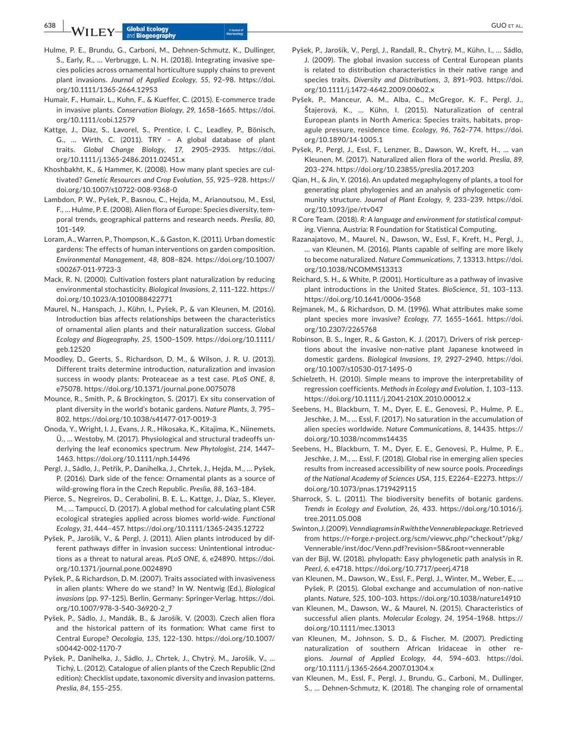**638 | b A**/**I** if  $\overline{P}$  **C CUO** et al. Abond to a labond to a labond to a labond to a labond to a labond to a labond to a labond to a labond to a labond to a labond to a labond to a labond to a labond to a labond

- Hulme, P. E., Brundu, G., Carboni, M., Dehnen‐Schmutz, K., Dullinger, S., Early, R., … Verbrugge, L. N. H. (2018). Integrating invasive spe‐ cies policies across ornamental horticulture supply chains to prevent plant invasions. *Journal of Applied Ecology*, *55*, 92–98. [https://doi.](https://doi.org/10.1111/1365-2664.12953) [org/10.1111/1365-2664.12953](https://doi.org/10.1111/1365-2664.12953)
- Humair, F., Humair, L., Kuhn, F., & Kueffer, C. (2015). E‐commerce trade in invasive plants. *Conservation Biology*, *29*, 1658–1665. [https://doi.](https://doi.org/10.1111/cobi.12579) [org/10.1111/cobi.12579](https://doi.org/10.1111/cobi.12579)
- Kattge, J., Díaz, S., Lavorel, S., Prentice, I. C., Leadley, P., Bönisch, G., … Wirth, C. (2011). TRY – A global database of plant traits. *Global Change Biology*, *17*, 2905–2935. [https://doi.](https://doi.org/10.1111/j.1365-2486.2011.02451.x) [org/10.1111/j.1365-2486.2011.02451.x](https://doi.org/10.1111/j.1365-2486.2011.02451.x)
- Khoshbakht, K., & Hammer, K. (2008). How many plant species are cul‐ tivated? *Genetic Resources and Crop Evolution*, *55*, 925–928. [https://](https://doi.org/10.1007/s10722-008-9368-0) [doi.org/10.1007/s10722-008-9368-0](https://doi.org/10.1007/s10722-008-9368-0)
- Lambdon, P. W., Pyšek, P., Basnou, C., Hejda, M., Arianoutsou, M., Essl, F., … Hulme, P. E. (2008). Alien flora of Europe: Species diversity, tem‐ poral trends, geographical patterns and research needs. *Preslia*, *80*, 101–149.
- Loram, A., Warren, P., Thompson, K., & Gaston, K. (2011). Urban domestic gardens: The effects of human interventions on garden composition. *Environmental Management*, *48*, 808–824. [https://doi.org/10.1007/](https://doi.org/10.1007/s00267-011-9723-3) [s00267-011-9723-3](https://doi.org/10.1007/s00267-011-9723-3)
- Mack, R. N. (2000). Cultivation fosters plant naturalization by reducing environmental stochasticity. *Biological Invasions*, *2*, 111–122. [https://](https://doi.org/10.1023/A:1010088422771) [doi.org/10.1023/A:1010088422771](https://doi.org/10.1023/A:1010088422771)
- Maurel, N., Hanspach, J., Kühn, I., Pyšek, P., & van Kleunen, M. (2016). Introduction bias affects relationships between the characteristics of ornamental alien plants and their naturalization success. *Global Ecology and Biogeography*, *25*, 1500–1509. [https://doi.org/10.1111/](https://doi.org/10.1111/geb.12520) [geb.12520](https://doi.org/10.1111/geb.12520)
- Moodley, D., Geerts, S., Richardson, D. M., & Wilson, J. R. U. (2013). Different traits determine introduction, naturalization and invasion success in woody plants: Proteaceae as a test case. *PLoS ONE*, *8*, e75078. <https://doi.org/10.1371/journal.pone.0075078>
- Mounce, R., Smith, P., & Brockington, S. (2017). Ex situ conservation of plant diversity in the world's botanic gardens. *Nature Plants*, *3*, 795– 802. <https://doi.org/10.1038/s41477-017-0019-3>
- Onoda, Y., Wright, I. J., Evans, J. R., Hikosaka, K., Kitajima, K., Niinemets, Ü., … Westoby, M. (2017). Physiological and structural tradeoffs un‐ derlying the leaf economics spectrum. *New Phytologist*, *214*, 1447– 1463. <https://doi.org/10.1111/nph.14496>
- Pergl, J., Sádlo, J., Petřík, P., Danihelka, J., Chrtek, J., Hejda, M., … Pyšek, P. (2016). Dark side of the fence: Ornamental plants as a source of wild‐growing flora in the Czech Republic. *Preslia*, *88*, 163–184.
- Pierce, S., Negreiros, D., Cerabolini, B. E. L., Kattge, J., Díaz, S., Kleyer, M., … Tampucci, D. (2017). A global method for calculating plant CSR ecological strategies applied across biomes world‐wide. *Functional Ecology*, *31*, 444–457. <https://doi.org/10.1111/1365-2435.12722>
- Pyšek, P., Jarošík, V., & Pergl, J. (2011). Alien plants introduced by dif‐ ferent pathways differ in invasion success: Unintentional introduc‐ tions as a threat to natural areas. *PLoS ONE*, *6*, e24890. [https://doi.](https://doi.org/10.1371/journal.pone.0024890) [org/10.1371/journal.pone.0024890](https://doi.org/10.1371/journal.pone.0024890)
- Pyšek, P., & Richardson, D. M. (2007). Traits associated with invasiveness in alien plants: Where do we stand? In W. Nentwig (Ed.), *Biological invasions* (pp. 97–125). Berlin, Germany: Springer‐Verlag. [https://doi.](https://doi.org/10.1007/978-3-540-36920-2_7) [org/10.1007/978-3-540-36920-2\\_7](https://doi.org/10.1007/978-3-540-36920-2_7)
- Pyšek, P., Sádlo, J., Mandák, B., & Jarošík, V. (2003). Czech alien flora and the historical pattern of its formation: What came first to Central Europe? *Oecologia*, *135*, 122–130. [https://doi.org/10.1007/](https://doi.org/10.1007/s00442-002-1170-7) [s00442-002-1170-7](https://doi.org/10.1007/s00442-002-1170-7)
- Pyšek, P., Danihelka, J., Sádlo, J., Chrtek, J., Chytrý, M., Jarošík, V., … Tichý, L. (2012). Catalogue of alien plants of the Czech Republic (2nd edition): Checklist update, taxonomic diversity and invasion patterns. *Preslia*, *84*, 155–255.
- Pyšek, P., Jarošík, V., Pergl, J., Randall, R., Chytrý, M., Kühn, I., … Sádlo, J. (2009). The global invasion success of Central European plants is related to distribution characteristics in their native range and species traits. *Diversity and Distributions*, *3*, 891–903. [https://doi.](https://doi.org/10.1111/j.1472-4642.2009.00602.x) [org/10.1111/j.1472-4642.2009.00602.x](https://doi.org/10.1111/j.1472-4642.2009.00602.x)
- Pyšek, P., Manceur, A. M., Alba, C., McGregor, K. F., Pergl, J., Štajerová, K., … Kühn, I. (2015). Naturalization of central European plants in North America: Species traits, habitats, prop‐ agule pressure, residence time. *Ecology*, *96*, 762–774. [https://doi.](https://doi.org/10.1890/14-1005.1) [org/10.1890/14-1005.1](https://doi.org/10.1890/14-1005.1)
- Pyšek, P., Pergl, J., Essl, F., Lenzner, B., Dawson, W., Kreft, H., … van Kleunen, M. (2017). Naturalized alien flora of the world. *Preslia*, *89*, 203–274.<https://doi.org/10.23855/preslia.2017.203>
- Qian, H., & Jin, Y. (2016). An updated megaphylogeny of plants, a tool for generating plant phylogenies and an analysis of phylogenetic com‐ munity structure. *Journal of Plant Ecology*, *9*, 233–239. [https://doi.](https://doi.org/10.1093/jpe/rtv047) [org/10.1093/jpe/rtv047](https://doi.org/10.1093/jpe/rtv047)
- R Core Team. (2018). *R: A language and environment for statistical comput‐ ing*. Vienna, Austria: R Foundation for Statistical Computing.
- Razanajatovo, M., Maurel, N., Dawson, W., Essl, F., Kreft, H., Pergl, J., … van Kleunen, M. (2016). Plants capable of selfing are more likely to become naturalized. *Nature Communications*, *7*, 13313. [https://doi.](https://doi.org/10.1038/NCOMMS13313) [org/10.1038/NCOMMS13313](https://doi.org/10.1038/NCOMMS13313)
- Reichard, S. H., & White, P. (2001). Horticulture as a pathway of invasive plant introductions in the United States. *BioScience*, *51*, 103–113. <https://doi.org/10.1641/0006-3568>
- Rejmanek, M., & Richardson, D. M. (1996). What attributes make some plant species more invasive? *Ecology*, *77*, 1655–1661. [https://doi.](https://doi.org/10.2307/2265768) [org/10.2307/2265768](https://doi.org/10.2307/2265768)
- Robinson, B. S., Inger, R., & Gaston, K. J. (2017). Drivers of risk percep‐ tions about the invasive non‐native plant Japanese knotweed in domestic gardens. *Biological Invasions*, *19*, 2927–2940. [https://doi.](https://doi.org/10.1007/s10530-017-1495-0) [org/10.1007/s10530-017-1495-0](https://doi.org/10.1007/s10530-017-1495-0)
- Schielzeth, H. (2010). Simple means to improve the interpretability of regression coefficients. *Methods in Ecology and Evolution*, *1*, 103–113. <https://doi.org/10.1111/j.2041-210X.2010.00012.x>
- Seebens, H., Blackburn, T. M., Dyer, E. E., Genovesi, P., Hulme, P. E., Jeschke, J. M., … Essl, F. (2017). No saturation in the accumulation of alien species worldwide. *Nature Communications*, *8*, 14435. [https://](https://doi.org/10.1038/ncomms14435) [doi.org/10.1038/ncomms14435](https://doi.org/10.1038/ncomms14435)
- Seebens, H., Blackburn, T. M., Dyer, E. E., Genovesi, P., Hulme, P. E., Jeschke, J. M., … Essl, F. (2018). Global rise in emerging alien species results from increased accessibility of new source pools. *Proceedings of the National Academy of Sciences USA*, *115*, E2264–E2273. [https://](https://doi.org/10.1073/pnas.1719429115) [doi.org/10.1073/pnas.1719429115](https://doi.org/10.1073/pnas.1719429115)
- Sharrock, S. L. (2011). The biodiversity benefits of botanic gardens. *Trends in Ecology and Evolution*, *26*, 433. [https://doi.org/10.1016/j.](https://doi.org/10.1016/j.tree.2011.05.008) [tree.2011.05.008](https://doi.org/10.1016/j.tree.2011.05.008)
- Swinton, J. (2009). *Venn diagrams in R with the Vennerable package*. Retrieved from [https://r-forge.r-project.org/scm/viewvc.php/\\*checkout\\*/pkg/](https://r-forge.r-project.org/scm/viewvc.php/*checkout*/pkg/Vennerable/inst/doc/Venn.pdf?revision=58&root=vennerable) [Vennerable/inst/doc/Venn.pdf?revision=58&root=vennerable](https://r-forge.r-project.org/scm/viewvc.php/*checkout*/pkg/Vennerable/inst/doc/Venn.pdf?revision=58&root=vennerable)
- van der Bijl, W. (2018). phylopath: Easy phylogenetic path analysis in R. *PeerJ*, *6*, e4718. <https://doi.org/10.7717/peerj.4718>
- van Kleunen, M., Dawson, W., Essl, F., Pergl, J., Winter, M., Weber, E., … Pyšek, P. (2015). Global exchange and accumulation of non‐native plants. *Nature*, *525*, 100–103.<https://doi.org/10.1038/nature14910>
- van Kleunen, M., Dawson, W., & Maurel, N. (2015). Characteristics of successful alien plants. *Molecular Ecology*, *24*, 1954–1968. [https://](https://doi.org/10.1111/mec.13013) [doi.org/10.1111/mec.13013](https://doi.org/10.1111/mec.13013)
- van Kleunen, M., Johnson, S. D., & Fischer, M. (2007). Predicting naturalization of southern African Iridaceae in other re‐ gions. *Journal of Applied Ecology*, *44*, 594–603. [https://doi.](https://doi.org/10.1111/j.1365-2664.2007.01304.x) [org/10.1111/j.1365-2664.2007.01304.x](https://doi.org/10.1111/j.1365-2664.2007.01304.x)
- van Kleunen, M., Essl, F., Pergl, J., Brundu, G., Carboni, M., Dullinger, S., … Dehnen‐Schmutz, K. (2018). The changing role of ornamental